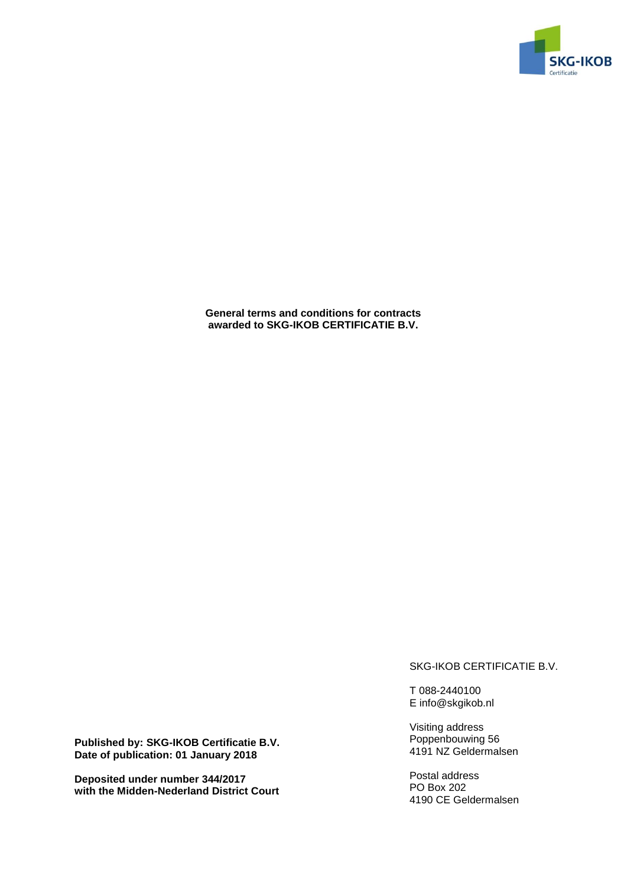

**General terms and conditions for contracts awarded to SKG-IKOB CERTIFICATIE B.V.**

SKG-IKOB CERTIFICATIE B.V.

T 088-2440100 E info@skgikob.nl

Visiting address Poppenbouwing 56 4191 NZ Geldermalsen

Postal address PO Box 202 4190 CE Geldermalsen

**Published by: SKG-IKOB Certificatie B.V. Date of publication: 01 January 2018**

**Deposited under number 344/2017 with the Midden-Nederland District Court**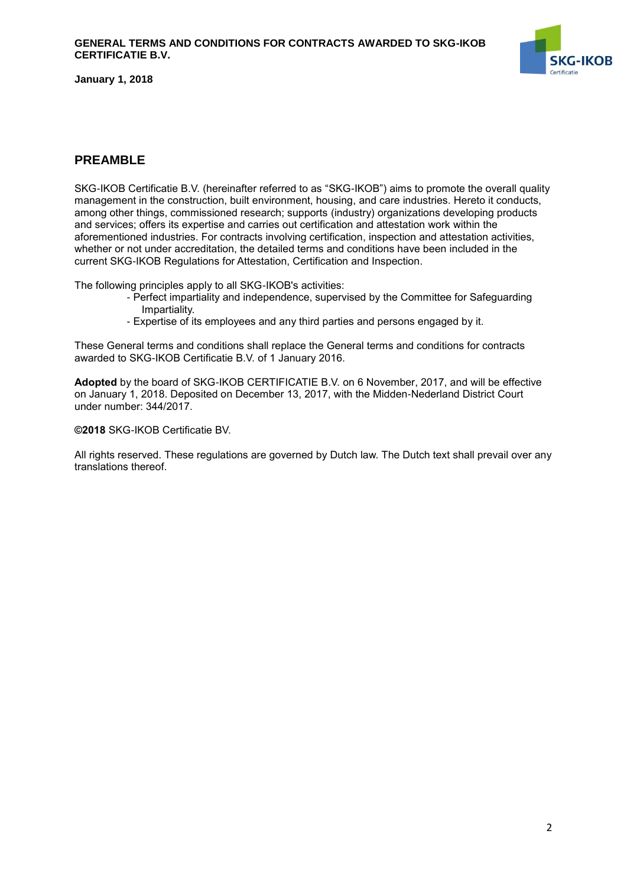

## <span id="page-1-0"></span>**PREAMBLE**

SKG-IKOB Certificatie B.V. (hereinafter referred to as "SKG-IKOB") aims to promote the overall quality management in the construction, built environment, housing, and care industries. Hereto it conducts, among other things, commissioned research; supports (industry) organizations developing products and services; offers its expertise and carries out certification and attestation work within the aforementioned industries. For contracts involving certification, inspection and attestation activities, whether or not under accreditation, the detailed terms and conditions have been included in the current SKG-IKOB Regulations for Attestation, Certification and Inspection.

The following principles apply to all SKG-IKOB's activities:

- Perfect impartiality and independence, supervised by the Committee for Safeguarding Impartiality.
- Expertise of its employees and any third parties and persons engaged by it.

These General terms and conditions shall replace the General terms and conditions for contracts awarded to SKG-IKOB Certificatie B.V. of 1 January 2016.

**Adopted** by the board of SKG-IKOB CERTIFICATIE B.V. on 6 November, 2017, and will be effective on January 1, 2018. Deposited on December 13, 2017, with the Midden-Nederland District Court under number: 344/2017.

**©2018** SKG-IKOB Certificatie BV.

All rights reserved. These regulations are governed by Dutch law. The Dutch text shall prevail over any translations thereof.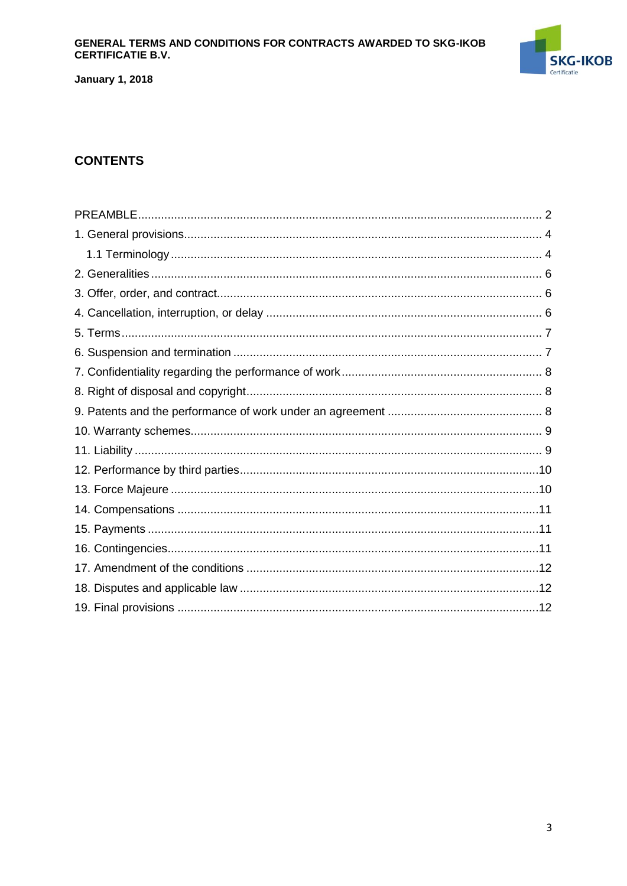### GENERAL TERMS AND CONDITIONS FOR CONTRACTS AWARDED TO SKG-IKOB **CERTIFICATIE B.V.**



**January 1, 2018** 

# **CONTENTS**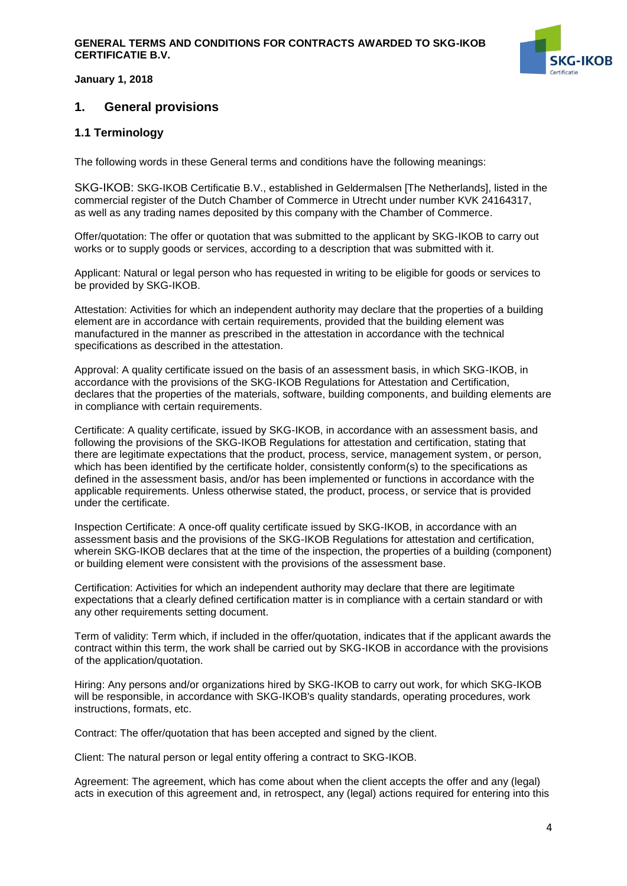

## <span id="page-3-0"></span>**1. General provisions**

### <span id="page-3-1"></span>**1.1 Terminology**

The following words in these General terms and conditions have the following meanings:

SKG-IKOB: SKG-IKOB Certificatie B.V., established in Geldermalsen [The Netherlands], listed in the commercial register of the Dutch Chamber of Commerce in Utrecht under number KVK 24164317, as well as any trading names deposited by this company with the Chamber of Commerce.

Offer/quotation: The offer or quotation that was submitted to the applicant by SKG-IKOB to carry out works or to supply goods or services, according to a description that was submitted with it.

Applicant: Natural or legal person who has requested in writing to be eligible for goods or services to be provided by SKG-IKOB.

Attestation: Activities for which an independent authority may declare that the properties of a building element are in accordance with certain requirements, provided that the building element was manufactured in the manner as prescribed in the attestation in accordance with the technical specifications as described in the attestation.

Approval: A quality certificate issued on the basis of an assessment basis, in which SKG-IKOB, in accordance with the provisions of the SKG-IKOB Regulations for Attestation and Certification, declares that the properties of the materials, software, building components, and building elements are in compliance with certain requirements.

Certificate: A quality certificate, issued by SKG-IKOB, in accordance with an assessment basis, and following the provisions of the SKG-IKOB Regulations for attestation and certification, stating that there are legitimate expectations that the product, process, service, management system, or person, which has been identified by the certificate holder, consistently conform(s) to the specifications as defined in the assessment basis, and/or has been implemented or functions in accordance with the applicable requirements. Unless otherwise stated, the product, process, or service that is provided under the certificate.

Inspection Certificate: A once-off quality certificate issued by SKG-IKOB, in accordance with an assessment basis and the provisions of the SKG-IKOB Regulations for attestation and certification, wherein SKG-IKOB declares that at the time of the inspection, the properties of a building (component) or building element were consistent with the provisions of the assessment base.

Certification: Activities for which an independent authority may declare that there are legitimate expectations that a clearly defined certification matter is in compliance with a certain standard or with any other requirements setting document.

Term of validity: Term which, if included in the offer/quotation, indicates that if the applicant awards the contract within this term, the work shall be carried out by SKG-IKOB in accordance with the provisions of the application/quotation.

Hiring: Any persons and/or organizations hired by SKG-IKOB to carry out work, for which SKG-IKOB will be responsible, in accordance with SKG-IKOB's quality standards, operating procedures, work instructions, formats, etc.

Contract: The offer/quotation that has been accepted and signed by the client.

Client: The natural person or legal entity offering a contract to SKG-IKOB.

Agreement: The agreement, which has come about when the client accepts the offer and any (legal) acts in execution of this agreement and, in retrospect, any (legal) actions required for entering into this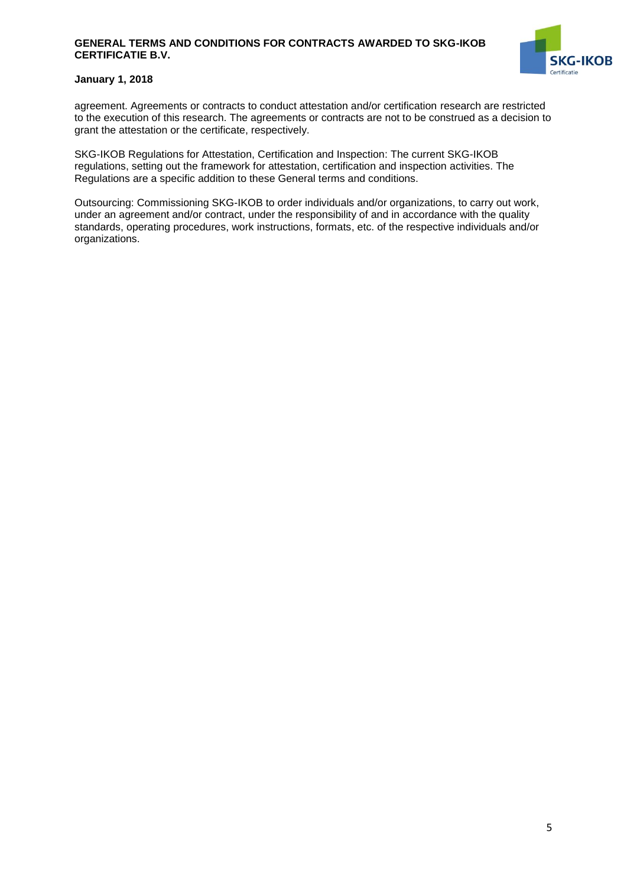#### **GENERAL TERMS AND CONDITIONS FOR CONTRACTS AWARDED TO SKG-IKOB CERTIFICATIE B.V.**



#### **January 1, 2018**

agreement. Agreements or contracts to conduct attestation and/or certification research are restricted to the execution of this research. The agreements or contracts are not to be construed as a decision to grant the attestation or the certificate, respectively.

SKG-IKOB Regulations for Attestation, Certification and Inspection: The current SKG-IKOB regulations, setting out the framework for attestation, certification and inspection activities. The Regulations are a specific addition to these General terms and conditions.

<span id="page-4-0"></span>Outsourcing: Commissioning SKG-IKOB to order individuals and/or organizations, to carry out work, under an agreement and/or contract, under the responsibility of and in accordance with the quality standards, operating procedures, work instructions, formats, etc. of the respective individuals and/or organizations.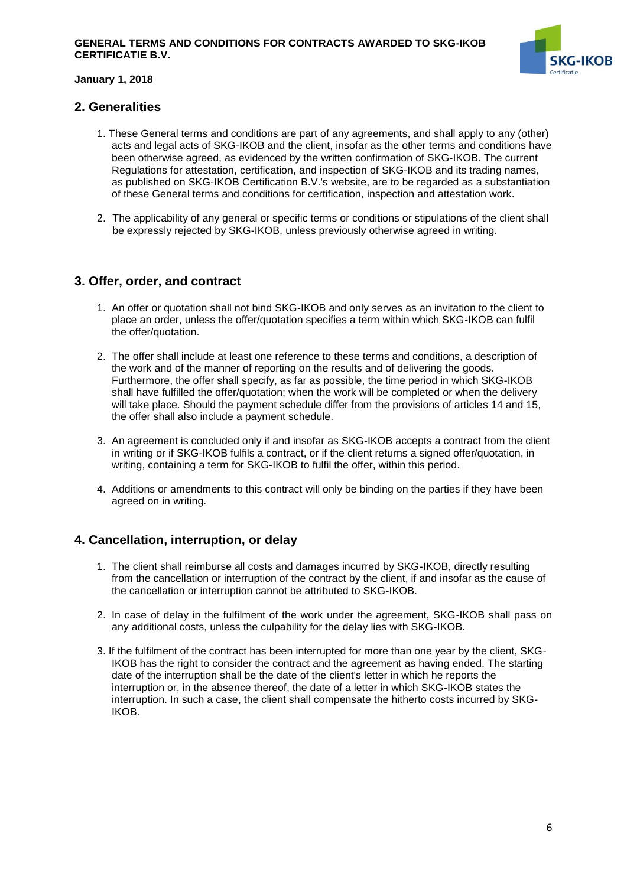

## **2. Generalities**

- 1. These General terms and conditions are part of any agreements, and shall apply to any (other) acts and legal acts of SKG-IKOB and the client, insofar as the other terms and conditions have been otherwise agreed, as evidenced by the written confirmation of SKG-IKOB. The current Regulations for attestation, certification, and inspection of SKG-IKOB and its trading names, as published on SKG-IKOB Certification B.V.'s website, are to be regarded as a substantiation of these General terms and conditions for certification, inspection and attestation work.
- 2. The applicability of any general or specific terms or conditions or stipulations of the client shall be expressly rejected by SKG-IKOB, unless previously otherwise agreed in writing.

## <span id="page-5-0"></span>**3. Offer, order, and contract**

- 1. An offer or quotation shall not bind SKG-IKOB and only serves as an invitation to the client to place an order, unless the offer/quotation specifies a term within which SKG-IKOB can fulfil the offer/quotation.
- 2. The offer shall include at least one reference to these terms and conditions, a description of the work and of the manner of reporting on the results and of delivering the goods. Furthermore, the offer shall specify, as far as possible, the time period in which SKG-IKOB shall have fulfilled the offer/quotation; when the work will be completed or when the delivery will take place. Should the payment schedule differ from the provisions of articles 14 and 15, the offer shall also include a payment schedule.
- 3. An agreement is concluded only if and insofar as SKG-IKOB accepts a contract from the client in writing or if SKG-IKOB fulfils a contract, or if the client returns a signed offer/quotation, in writing, containing a term for SKG-IKOB to fulfil the offer, within this period.
- 4. Additions or amendments to this contract will only be binding on the parties if they have been agreed on in writing.

## <span id="page-5-1"></span>**4. Cancellation, interruption, or delay**

- 1. The client shall reimburse all costs and damages incurred by SKG-IKOB, directly resulting from the cancellation or interruption of the contract by the client, if and insofar as the cause of the cancellation or interruption cannot be attributed to SKG-IKOB.
- 2. In case of delay in the fulfilment of the work under the agreement, SKG-IKOB shall pass on any additional costs, unless the culpability for the delay lies with SKG-IKOB.
- 3. If the fulfilment of the contract has been interrupted for more than one year by the client, SKG-IKOB has the right to consider the contract and the agreement as having ended. The starting date of the interruption shall be the date of the client's letter in which he reports the interruption or, in the absence thereof, the date of a letter in which SKG-IKOB states the interruption. In such a case, the client shall compensate the hitherto costs incurred by SKG-IKOB.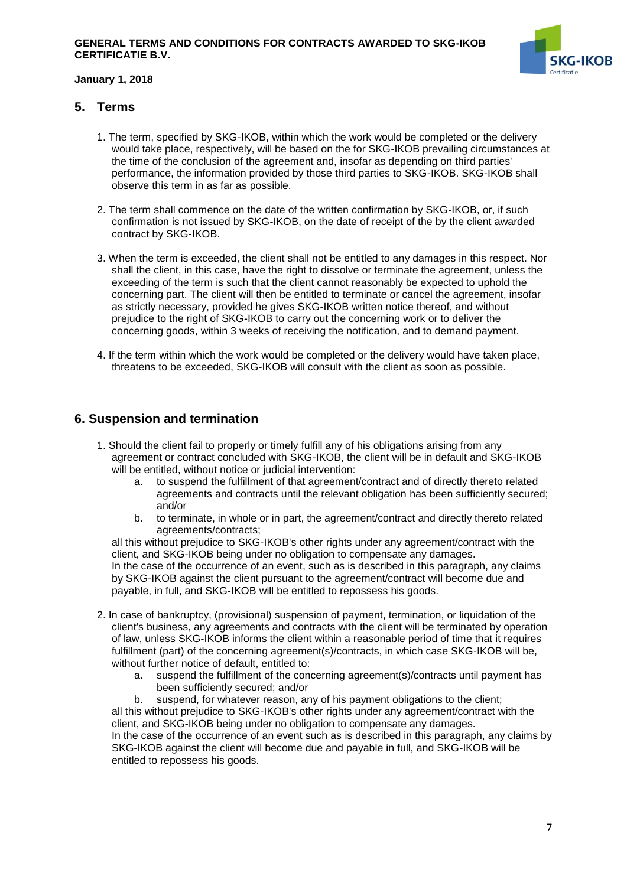

## <span id="page-6-0"></span>**5. Terms**

- 1. The term, specified by SKG-IKOB, within which the work would be completed or the delivery would take place, respectively, will be based on the for SKG-IKOB prevailing circumstances at the time of the conclusion of the agreement and, insofar as depending on third parties' performance, the information provided by those third parties to SKG-IKOB. SKG-IKOB shall observe this term in as far as possible.
- 2. The term shall commence on the date of the written confirmation by SKG-IKOB, or, if such confirmation is not issued by SKG-IKOB, on the date of receipt of the by the client awarded contract by SKG-IKOB.
- 3. When the term is exceeded, the client shall not be entitled to any damages in this respect. Nor shall the client, in this case, have the right to dissolve or terminate the agreement, unless the exceeding of the term is such that the client cannot reasonably be expected to uphold the concerning part. The client will then be entitled to terminate or cancel the agreement, insofar as strictly necessary, provided he gives SKG-IKOB written notice thereof, and without prejudice to the right of SKG-IKOB to carry out the concerning work or to deliver the concerning goods, within 3 weeks of receiving the notification, and to demand payment.
- 4. If the term within which the work would be completed or the delivery would have taken place, threatens to be exceeded, SKG-IKOB will consult with the client as soon as possible.

## <span id="page-6-1"></span>**6. Suspension and termination**

- 1. Should the client fail to properly or timely fulfill any of his obligations arising from any agreement or contract concluded with SKG-IKOB, the client will be in default and SKG-IKOB will be entitled, without notice or judicial intervention:
	- a. to suspend the fulfillment of that agreement/contract and of directly thereto related agreements and contracts until the relevant obligation has been sufficiently secured; and/or
	- b. to terminate, in whole or in part, the agreement/contract and directly thereto related agreements/contracts;

all this without prejudice to SKG-IKOB's other rights under any agreement/contract with the client, and SKG-IKOB being under no obligation to compensate any damages. In the case of the occurrence of an event, such as is described in this paragraph, any claims by SKG-IKOB against the client pursuant to the agreement/contract will become due and payable, in full, and SKG-IKOB will be entitled to repossess his goods.

- 2. In case of bankruptcy, (provisional) suspension of payment, termination, or liquidation of the client's business, any agreements and contracts with the client will be terminated by operation of law, unless SKG-IKOB informs the client within a reasonable period of time that it requires fulfillment (part) of the concerning agreement(s)/contracts, in which case SKG-IKOB will be, without further notice of default, entitled to:
	- a. suspend the fulfillment of the concerning agreement(s)/contracts until payment has been sufficiently secured; and/or

b. suspend, for whatever reason, any of his payment obligations to the client; all this without prejudice to SKG-IKOB's other rights under any agreement/contract with the client, and SKG-IKOB being under no obligation to compensate any damages. In the case of the occurrence of an event such as is described in this paragraph, any claims by SKG-IKOB against the client will become due and payable in full, and SKG-IKOB will be entitled to repossess his goods.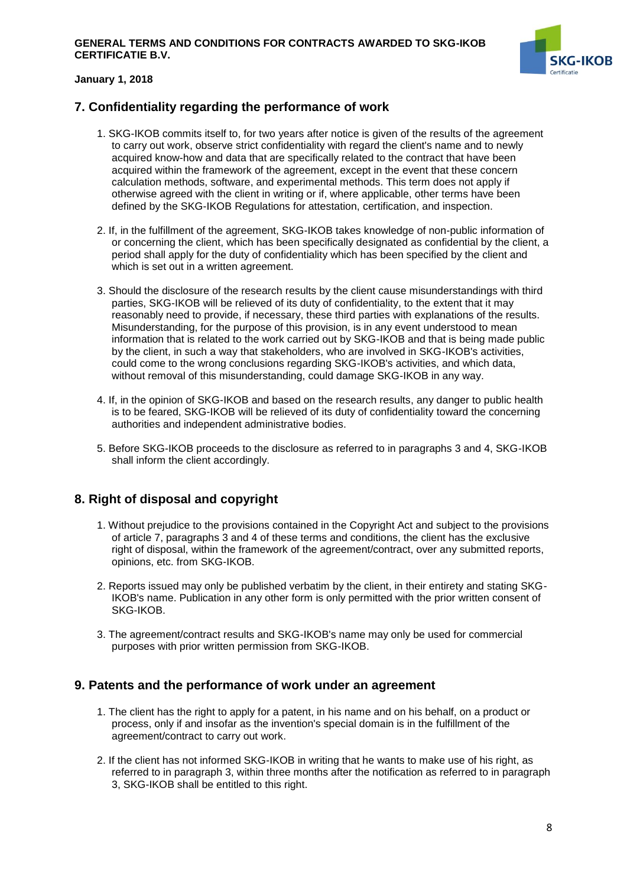

## <span id="page-7-0"></span>**7. Confidentiality regarding the performance of work**

- 1. SKG-IKOB commits itself to, for two years after notice is given of the results of the agreement to carry out work, observe strict confidentiality with regard the client's name and to newly acquired know-how and data that are specifically related to the contract that have been acquired within the framework of the agreement, except in the event that these concern calculation methods, software, and experimental methods. This term does not apply if otherwise agreed with the client in writing or if, where applicable, other terms have been defined by the SKG-IKOB Regulations for attestation, certification, and inspection.
- 2. If, in the fulfillment of the agreement, SKG-IKOB takes knowledge of non-public information of or concerning the client, which has been specifically designated as confidential by the client, a period shall apply for the duty of confidentiality which has been specified by the client and which is set out in a written agreement.
- 3. Should the disclosure of the research results by the client cause misunderstandings with third parties, SKG-IKOB will be relieved of its duty of confidentiality, to the extent that it may reasonably need to provide, if necessary, these third parties with explanations of the results. Misunderstanding, for the purpose of this provision, is in any event understood to mean information that is related to the work carried out by SKG-IKOB and that is being made public by the client, in such a way that stakeholders, who are involved in SKG-IKOB's activities, could come to the wrong conclusions regarding SKG-IKOB's activities, and which data, without removal of this misunderstanding, could damage SKG-IKOB in any way.
- 4. If, in the opinion of SKG-IKOB and based on the research results, any danger to public health is to be feared, SKG-IKOB will be relieved of its duty of confidentiality toward the concerning authorities and independent administrative bodies.
- 5. Before SKG-IKOB proceeds to the disclosure as referred to in paragraphs 3 and 4, SKG-IKOB shall inform the client accordingly.

## <span id="page-7-1"></span>**8. Right of disposal and copyright**

- 1. Without prejudice to the provisions contained in the Copyright Act and subject to the provisions of article 7, paragraphs 3 and 4 of these terms and conditions, the client has the exclusive right of disposal, within the framework of the agreement/contract, over any submitted reports, opinions, etc. from SKG-IKOB.
- 2. Reports issued may only be published verbatim by the client, in their entirety and stating SKG-IKOB's name. Publication in any other form is only permitted with the prior written consent of SKG-IKOB.
- 3. The agreement/contract results and SKG-IKOB's name may only be used for commercial purposes with prior written permission from SKG-IKOB.

## <span id="page-7-2"></span>**9. Patents and the performance of work under an agreement**

- 1. The client has the right to apply for a patent, in his name and on his behalf, on a product or process, only if and insofar as the invention's special domain is in the fulfillment of the agreement/contract to carry out work.
- 2. If the client has not informed SKG-IKOB in writing that he wants to make use of his right, as referred to in paragraph 3, within three months after the notification as referred to in paragraph 3, SKG-IKOB shall be entitled to this right.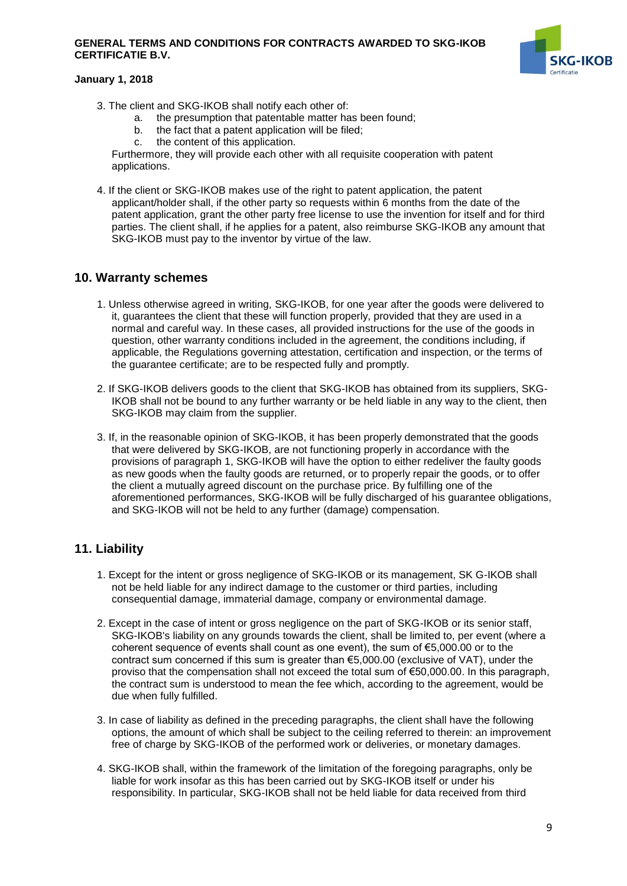#### **GENERAL TERMS AND CONDITIONS FOR CONTRACTS AWARDED TO SKG-IKOB CERTIFICATIE B.V.**



#### **January 1, 2018**

- 3. The client and SKG-IKOB shall notify each other of:
	- a. the presumption that patentable matter has been found;
	- b. the fact that a patent application will be filed;
	- c. the content of this application.

Furthermore, they will provide each other with all requisite cooperation with patent applications.

4. If the client or SKG-IKOB makes use of the right to patent application, the patent applicant/holder shall, if the other party so requests within 6 months from the date of the patent application, grant the other party free license to use the invention for itself and for third parties. The client shall, if he applies for a patent, also reimburse SKG-IKOB any amount that SKG-IKOB must pay to the inventor by virtue of the law.

### <span id="page-8-0"></span>**10. Warranty schemes**

- 1. Unless otherwise agreed in writing, SKG-IKOB, for one year after the goods were delivered to it, guarantees the client that these will function properly, provided that they are used in a normal and careful way. In these cases, all provided instructions for the use of the goods in question, other warranty conditions included in the agreement, the conditions including, if applicable, the Regulations governing attestation, certification and inspection, or the terms of the guarantee certificate; are to be respected fully and promptly.
- 2. If SKG-IKOB delivers goods to the client that SKG-IKOB has obtained from its suppliers, SKG-IKOB shall not be bound to any further warranty or be held liable in any way to the client, then SKG-IKOB may claim from the supplier.
- 3. If, in the reasonable opinion of SKG-IKOB, it has been properly demonstrated that the goods that were delivered by SKG-IKOB, are not functioning properly in accordance with the provisions of paragraph 1, SKG-IKOB will have the option to either redeliver the faulty goods as new goods when the faulty goods are returned, or to properly repair the goods, or to offer the client a mutually agreed discount on the purchase price. By fulfilling one of the aforementioned performances, SKG-IKOB will be fully discharged of his guarantee obligations, and SKG-IKOB will not be held to any further (damage) compensation.

## <span id="page-8-1"></span>**11. Liability**

- 1. Except for the intent or gross negligence of SKG-IKOB or its management, SK G-IKOB shall not be held liable for any indirect damage to the customer or third parties, including consequential damage, immaterial damage, company or environmental damage.
- 2. Except in the case of intent or gross negligence on the part of SKG-IKOB or its senior staff, SKG-IKOB's liability on any grounds towards the client, shall be limited to, per event (where a coherent sequence of events shall count as one event), the sum of €5,000.00 or to the contract sum concerned if this sum is greater than €5,000.00 (exclusive of VAT), under the proviso that the compensation shall not exceed the total sum of €50,000.00. In this paragraph, the contract sum is understood to mean the fee which, according to the agreement, would be due when fully fulfilled.
- 3. In case of liability as defined in the preceding paragraphs, the client shall have the following options, the amount of which shall be subject to the ceiling referred to therein: an improvement free of charge by SKG-IKOB of the performed work or deliveries, or monetary damages.
- 4. SKG-IKOB shall, within the framework of the limitation of the foregoing paragraphs, only be liable for work insofar as this has been carried out by SKG-IKOB itself or under his responsibility. In particular, SKG-IKOB shall not be held liable for data received from third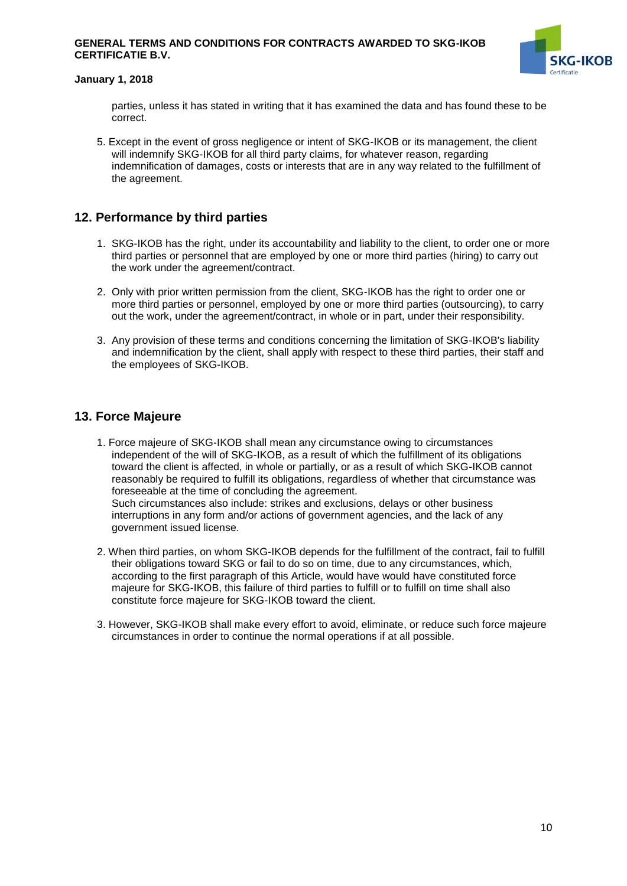#### **GENERAL TERMS AND CONDITIONS FOR CONTRACTS AWARDED TO SKG-IKOB CERTIFICATIE B.V.**



#### **January 1, 2018**

parties, unless it has stated in writing that it has examined the data and has found these to be correct.

5. Except in the event of gross negligence or intent of SKG-IKOB or its management, the client will indemnify SKG-IKOB for all third party claims, for whatever reason, regarding indemnification of damages, costs or interests that are in any way related to the fulfillment of the agreement.

## <span id="page-9-0"></span>**12. Performance by third parties**

- 1. SKG-IKOB has the right, under its accountability and liability to the client, to order one or more third parties or personnel that are employed by one or more third parties (hiring) to carry out the work under the agreement/contract.
- 2. Only with prior written permission from the client, SKG-IKOB has the right to order one or more third parties or personnel, employed by one or more third parties (outsourcing), to carry out the work, under the agreement/contract, in whole or in part, under their responsibility.
- 3. Any provision of these terms and conditions concerning the limitation of SKG-IKOB's liability and indemnification by the client, shall apply with respect to these third parties, their staff and the employees of SKG-IKOB.

## <span id="page-9-1"></span>**13. Force Majeure**

- 1. Force majeure of SKG-IKOB shall mean any circumstance owing to circumstances independent of the will of SKG-IKOB, as a result of which the fulfillment of its obligations toward the client is affected, in whole or partially, or as a result of which SKG-IKOB cannot reasonably be required to fulfill its obligations, regardless of whether that circumstance was foreseeable at the time of concluding the agreement. Such circumstances also include: strikes and exclusions, delays or other business interruptions in any form and/or actions of government agencies, and the lack of any government issued license.
- 2. When third parties, on whom SKG-IKOB depends for the fulfillment of the contract, fail to fulfill their obligations toward SKG or fail to do so on time, due to any circumstances, which, according to the first paragraph of this Article, would have would have constituted force majeure for SKG-IKOB, this failure of third parties to fulfill or to fulfill on time shall also constitute force majeure for SKG-IKOB toward the client.
- 3. However, SKG-IKOB shall make every effort to avoid, eliminate, or reduce such force majeure circumstances in order to continue the normal operations if at all possible.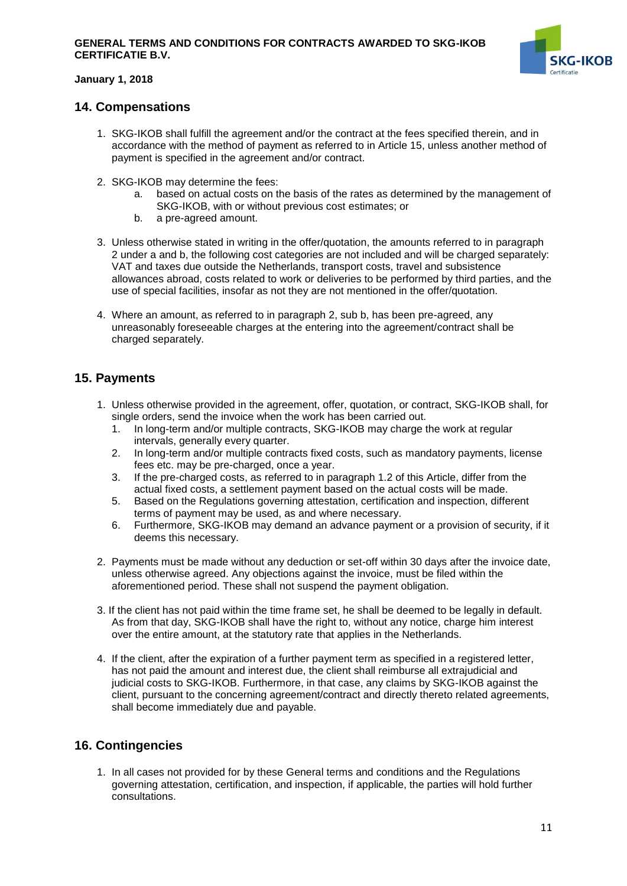

## <span id="page-10-0"></span>**14. Compensations**

- 1. SKG-IKOB shall fulfill the agreement and/or the contract at the fees specified therein, and in accordance with the method of payment as referred to in Article 15, unless another method of payment is specified in the agreement and/or contract.
- 2. SKG-IKOB may determine the fees:
	- a. based on actual costs on the basis of the rates as determined by the management of SKG-IKOB, with or without previous cost estimates; or
	- b. a pre-agreed amount.
- 3. Unless otherwise stated in writing in the offer/quotation, the amounts referred to in paragraph 2 under a and b, the following cost categories are not included and will be charged separately: VAT and taxes due outside the Netherlands, transport costs, travel and subsistence allowances abroad, costs related to work or deliveries to be performed by third parties, and the use of special facilities, insofar as not they are not mentioned in the offer/quotation.
- 4. Where an amount, as referred to in paragraph 2, sub b, has been pre-agreed, any unreasonably foreseeable charges at the entering into the agreement/contract shall be charged separately.

## <span id="page-10-1"></span>**15. Payments**

- 1. Unless otherwise provided in the agreement, offer, quotation, or contract, SKG-IKOB shall, for single orders, send the invoice when the work has been carried out.
	- 1. In long-term and/or multiple contracts, SKG-IKOB may charge the work at regular intervals, generally every quarter.
	- 2. In long-term and/or multiple contracts fixed costs, such as mandatory payments, license fees etc. may be pre-charged, once a year.
	- 3. If the pre-charged costs, as referred to in paragraph 1.2 of this Article, differ from the actual fixed costs, a settlement payment based on the actual costs will be made.
	- 5. Based on the Regulations governing attestation, certification and inspection, different terms of payment may be used, as and where necessary.
	- 6. Furthermore, SKG-IKOB may demand an advance payment or a provision of security, if it deems this necessary.
- 2. Payments must be made without any deduction or set-off within 30 days after the invoice date, unless otherwise agreed. Any objections against the invoice, must be filed within the aforementioned period. These shall not suspend the payment obligation.
- 3. If the client has not paid within the time frame set, he shall be deemed to be legally in default. As from that day, SKG-IKOB shall have the right to, without any notice, charge him interest over the entire amount, at the statutory rate that applies in the Netherlands.
- 4. If the client, after the expiration of a further payment term as specified in a registered letter, has not paid the amount and interest due, the client shall reimburse all extrajudicial and judicial costs to SKG-IKOB. Furthermore, in that case, any claims by SKG-IKOB against the client, pursuant to the concerning agreement/contract and directly thereto related agreements, shall become immediately due and payable.

## <span id="page-10-2"></span>**16. Contingencies**

1. In all cases not provided for by these General terms and conditions and the Regulations governing attestation, certification, and inspection, if applicable, the parties will hold further consultations.